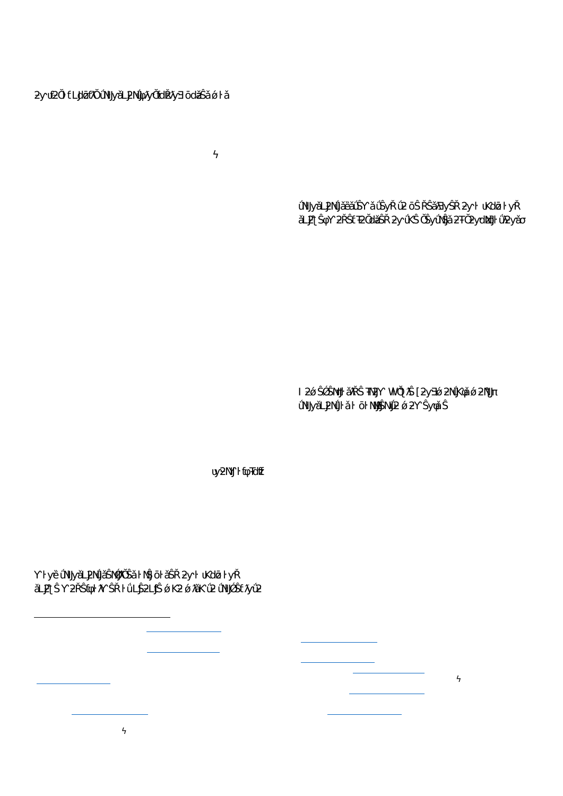slightly below its average share of public spending which has fluctuated between 3% and 4% since the early 1980s.Overall, expenditure on UK public transport (2016/17) was £29.1 $b$  but whilst spending on 'local public transport' including buses was £2.3million, spending on railways was £15.7m.

# Overview of transport and its impact on women

Use of public transport is highly gendered omen and men use different transport to ifferent degrees. In 2016 across England, women made one third more trips than men by bus; men made one third more trips by train than womer? On average men made 13 journeys by London bus, 30 journeys by local buses (not London) and 24 journeys by raibt London Underground). By contrast, women made 19 journeys by London bus, 40 journeys by local bus and 18 journeys by rail.

There is little coherent analysis within central or local Government about the gendered impact of public transport policy. The Equity Impact Assessment of the 2017 Bus Act states that any impact on women as a result of the changes implemented by the Act should be addressed by Local Transport Authorities.

Women are far more likely than men to be in paid part-time work for signifient periods of their working lives.<sup>11</sup>A key issue for many women, therefore, is the challenge of paying for mual, monthly or weekly transport passes (season tickets) en working in this way: public transport can be prohibitively expensive and inflexible for anyone working outide 'normal' full time hours.

Women are also more likely than men to have caring responsibilities that may require them to make multiple short journeys during a day, (for example to drop children off at school, visit an elderly patend shop for food). This creates another challenge, since many transport services are based on a 'hub and spoke model' aimed at people who wish to travel into

-

the centre of towns or cities for work in the morning and back to residential areas in the eweg.

Work by Jackie Longworth at the University of the West of England has shown how a lack of public transport is a cause of the gender pay gap in the West of England. In 2014, citing evidence from external agencies<sup>42</sup> she argued:

Some 30 per cent of wom have no access to a car particularly during the working day because either they cannot afford one or the family canised by their partner for wor $k^3$  Except in London, public *transport systems tend to be designed on a 'hub and spoke' model focused on the centres of conurbations.*  This means that a journey to work via school or childcare dropoff might involve several changes and a long commuting time. Ombine this with the fact that high paid jobs in the West of Englandare unevenly distributed and it is not surprising that many women seeking work choose a more local, lower paid, job. Planners, transport authorities and developers need to consider the differing needs of women and men when deciding how to distribute residential and employment space and to ensure that public transport opens up the connections between them.

However, aside from Jackie Longworth's work, transport as a barrier to women's employment receives far less attention than other barriers such as childcare.

# Transport and political representation

Political and public representation of public transport is overwhelmingly white and male.

Since 1981, there have been 22 UK Government Ministers covering transport, of whom 2 have been women and all have been white. In the Scottish Parliament, there have been 9 Ministers with transport responsibilities of whom 2 have been women. The current incumbent Humza Yousaf is the first BAME MSP to hothis portfolio. In the Welsh

- improvements for inclusion in the Buses Bill [\(http://bit.ly/2CsW063\)](http://bit.ly/2CsW063)
- <sup>11</sup> WBG (2018)Women, employment and earnings [\(https://bit.ly/2ExUEtl\)](https://bit.ly/2ExUEtl)

<sup>&</sup>lt;sup>6</sup> IFS (2015) Transport spendin $\frac{d_1}{dt}$ ttp://bit.ly/2R2Dohs

<sup>&</sup>lt;sup>7</sup> Department for Transport (201<sup>8</sup>) ublic expenditure on transport: UK(table TSGB1301) (p://bit.ly/2AhpnXl)

<sup>8</sup> Department for Transport (2017UK Public Expenditure on Transport by function: from 2005/06 able TSGB1303) [\(http://bit.ly/2Csu95X\)](http://bit.ly/2Csu95X)

<sup>&</sup>lt;sup>9</sup> Department for Transport (2018) verage number of trips (trip rates) by age, gender and main mode: England, 2018 ble NTS0601) http://bit.ly/2yNMI0V)

<sup>&</sup>lt;sup>10</sup> Department for Transport (2016) Impact Assessmehtanges to bus market legislation bus franchising and partnership

<sup>12</sup> For examplehttp://bit.ly/2JbZ87T

<sup>13</sup> Citizens Mobility (n/a**Gender and mobility Buses are female,** cars are malehttp://bit.ly/2yQzKQ0

<sup>&</sup>lt;sup>14</sup> J Longworth (2016) How to eliminate the gender pay gap? Local actions[\(http://bit.ly/2PG9Qpl\)](http://bit.ly/2PG9Qpl) p 7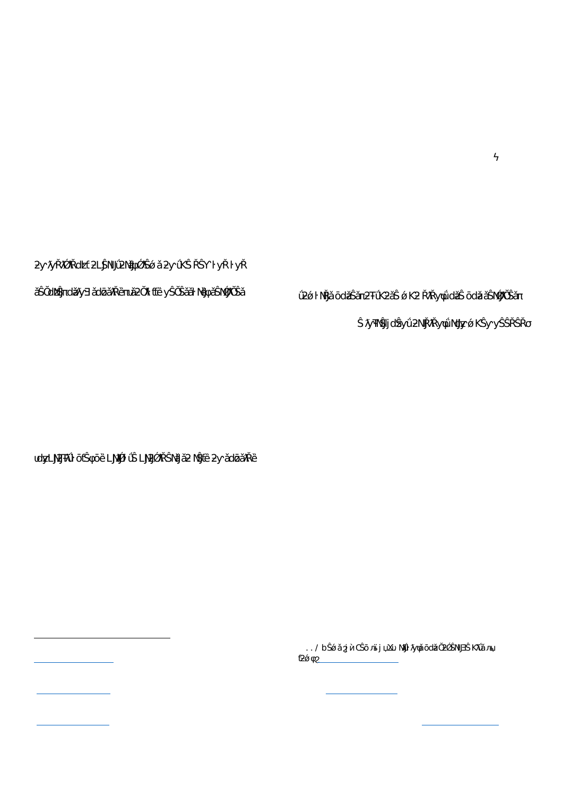Assembly, thereave been 8 Ministers with responsibility for transport of whom 2 were women.

# Modes of Public Transport Buses and Trains

#### **Buses**

There are currently five main bus operators: Stagecoach; FirstGroup; Arriva; tNaal Express; and Go-Ahead. In 2011 the Competition Commission calculated that these five companies accounted for 70% of the market (by number of services registered)<sup>15</sup> Commercial bus operators are not required to consult before making changes to timetables or the position of bus stops; nor do they have to consider either public demand or the availability of existing services: each company can operate timetables and introduce new services solely on individual operators' views on the demand and commercial viability. The role of local authorities is to secure, using subsidy, 'socially necessary' services which are not provided by the commercial market and to specify fare levels, type of bus and so on for these services, on the condition that they are providiby private contractors. Under this vstem, the UK Government spent£2.3bn on bus services in 2016/17. 16

## Impact of austerity

-

Across the UK, particularly in rural and isolated communities, the bus is often the only form of public transport. However, such rotes are often considered 'unprofitable' by private providers so rely on subsidy from local authorities. Significant cuts to local authority budgets since 2010 have severely affected the provision of subsidised bus servicescal Authority funding forbuses across England has en cut by 46% since 201011, and by nearly 20.2 million in 2017/18 alone; in Wales, there has been a cut of 39% since 2010/11.

The Campaign for Better Transport found that over 3,300 bus routes had been reduced or completely withdrawn between 2010/11 and 2017/18 Analysis conducted by the BBCshowed that there had been a loss of 134 million miles of bus coverage across the UK over the past decade. The North East of England was hardest hit, losing nearly a quarter (23%) of miles from its network in that timeSince women make a third more bus journeys than men they are disproportionately affected by these cuts.

Unprofitable routes that rely on local authority subsidy are often those where the passengers are primarily holders of **c**oncessionary bus passes ue to age or disability. Such passengers are therefore doubly dependent on local authority subsidies, and hugely at risk of being isolated as a result of cuts to public transport budgets.

#### Dependable bus services

Public transporbf any mode needs to be reliable and dependable for it to meet the needs of the public it serves. In a Government survey of public attitudes towards buses, of those who didn't use bus services, 18% of women and 15% of men said it was because the buses wer infrequent or didn't run when needed. Transport Focus, the Government sponsored body which measures passenger satisfaction with GB transport, captures information on satisfaction with punctuality rather than dependability. This is unfortunate because, itransport terms, these are not the same things at all. A bus that turns up once a day may turn up on time wery day (and thus be punctual)but is not a dependable form of public transport if someone needs to travel at a time when there is no bus. Interestingly, in a survey conducted in 2013, 35% of people said they would use buses more often if the buses were more frequent, including 41% of people who describe themselves as bus users.

#### Affordable bus services

People on low incomes are significantly more likely to use buses than people on higher incomes who are more likely to userains. Data from 201 shows that people in the lowest income uintile are three times more likely to use buses than those in the highest income quintile<sup>21</sup> So affordability of bus services will

<sup>&</sup>lt;sup>15</sup> House of Commons Libra(2018)Bus Services Act 2017 [\(http://bit.ly/2CszDO4\)](http://bit.ly/2CszDO4) p 10

<sup>&</sup>lt;sup>16</sup> Department for Transport (2017) K Public Expenditure on Transport by function: from 2005/06 able TSGB1303) [\(http://bit.ly/2Csu95X\)](http://bit.ly/2Csu95X)

<sup>&</sup>lt;sup>17</sup> Campaign for Better Transport (2018) ses in Crisis: A report on bus funding across England and Wales 2020018 [\(http://bit.ly/2P3O4iv\)](http://bit.ly/2P3O4iv)  $18$  Ibid.

<sup>19</sup> BBC News (16 Feb 2018) 'Britain's bus coverage hits 28-year low' ([https://bbc.in/2ExZkQ2\)](https://bbc.in/2ExZkQ2)

 $20$  Department for Transport (201 $\mathbb{B}$ ublic attitudes towards buses: March 2018 Table ATT0109 Statements by user/noser status) (http://bit.lv/2CTzJ2d

<sup>&</sup>lt;sup>21</sup> Department for Transport (2018) ational Travel Surve Table NTS0705 Travel by household income quintile and mai mode/stage mode: England, 2017)ttfp://bit.ly/2CsADBO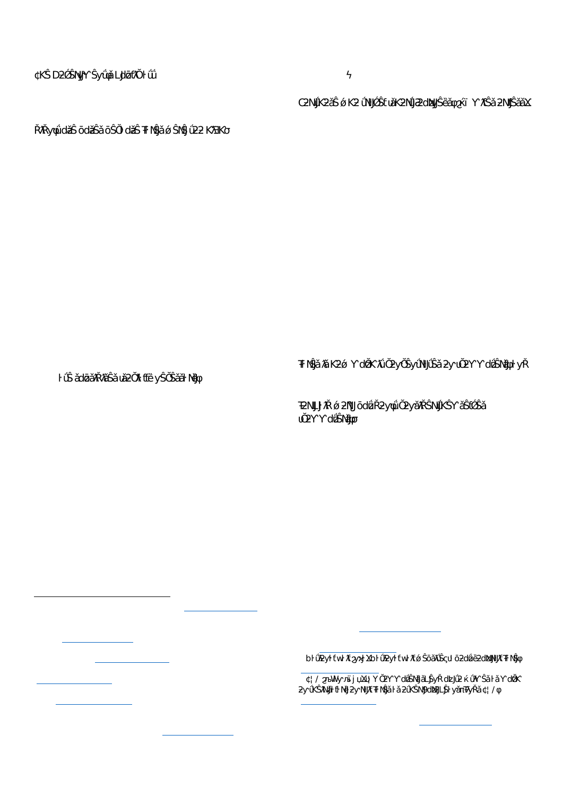have a bigger impact on women than on men as women are more likely than men to live in povefty

The Government's public attitudes survey published in 2013 showed that 38% of adults would use buses more often if fares were cheaper. In this same survey 14% of women and 12% of men said they didn't use buses because fares were too high. Bus fares increased by  $3.3\%$  in England beatw September 2016 and September 2017: there was a 1% increase in London, compared to 4.1% increase in metropolitan areas and a 5.3% increase in non metropolitan areas<sup>24</sup>

However, an expensive, irregular bus service hinders more than just access to paid empment. It can also lead to isolation, loneliness and poverty, denying people access to education, health and other vital services and opportunities for socialising.

## Trains/Railways

Although the rail industry in Great Britain was privatised in 1993, the K Government still invests around £15bn in the railways. This equates to about £249 per person per year in England, (compared to £8 per person per year for buse<sup>3</sup>)As with bus services, the state subsidises 'socially necessary' (and often unprofitable) services that might not otherwise be provided by private companies. Across Great Britain, rail travel has more than doubled in the past 20 years<sup>86</sup> but rail travel in England remains far less popular overall as a mode of transport than the car, walking or travelling by bus: in 2016, rail accounted for 2% of trips made, 8% of distance travelled and 7% of time spent travelling?

And whilst trains attract more funding, resource (and media interest) than buses do, on the whole this is reserved for large intercity projects (e.g. HS2) that move wealthy people (mainly men) from one part of the country to another.

-

Rail fares and fordability

One of the key issues with railways is affordability and availability- many areas outside of major towns and cities do not have access to a reliable railway system. For those who travel 'short journeys' (50 miles or less) by train, train frequeng and fare costs are the two areas that they feel most need improvement: 30% report frequency and 42% report the cost of the fares.<sup>28</sup>

In addition, rail travel remains the preserve of the wealthiest people. Those in households of the highest income quintile are four times more likely to use the railways as those in the lowest income households. Indeed, average trip numbers are almost double between those in the highest income quintile and those in the second highest $30$ 

In 2018, rail fares in the UK increased average by  $3.4\%$ <sup>1</sup> which was the largest increase in five years. According to the TUC, this fare increase means that a season ticket costs a British worker five times more than those working on the continent of Europe. However, one of the stark aspects the debate on fares is how much it concentrates on 'commuters' and the expense they face, rather than people who may need to use rail for different purposes, or who use it for paid work but don't consider themselves 'commuters'.

## The cost of train travefor part-time workers

People working part time, the vast majority of whom are women, face huge financial penalties in the rail fare system: most can either pay the highest peak time fares on the days they travel or pay for a full season ticket and pap f journeys they never take. In recent years, the Government has sought to address this anomaly publishing a report exploring this issue in some detai<sup>33</sup> and inviting companies tendering to run services to consider ways they can provide flexible

30 Department for Transport (201 Rail Factsheet: November 2017[\(http://bit.ly/2AiMUHz\)](http://bit.ly/2AiMUHz) p 3

<sup>&</sup>lt;sup>22</sup> WBG (2018) The Female Face of Pove [\(http://bit.ly/2CRIx8N\)](http://bit.ly/2CRIx8N)  $23$  Department for Transport (201 $\overline{\mathcal{B}}$ ublic attitudes towards buses: March 2018 Table ATT0109 Statements by user/nomer status) (http://bit.ly/2CTzJ2g

<sup>&</sup>lt;sup>24</sup> Department for Transport (2017) quarterly bus statistics: July to September 2017http://bit.ly/2Aj07QA)

<sup>&</sup>lt;sup>25</sup> House of Commons Library (2018) ansport Spending by Region (http:// [bit.ly/2R2Dbea\)](http://bit.ly/2R2Dbea)

<sup>&</sup>lt;sup>26</sup> Department for Transport (201 Rail Factsheet: November 2017[\(http://bit.ly/2AiMUHz\)](http://bit.ly/2AiMUHz) p 2

<sup>27</sup> Ibid. p1

<sup>&</sup>lt;sup>28</sup> Department for Transport (201<sup>3</sup>) Ublic attitudes towards buses: March 2010 Table ATT0412http://bit.ly/2CTzJ2g

 $29$  Department for Transport (2013) ravel by vehicle availability, income, ethnic group, household type, mobility status and NS (Table NTS070[5](http://bit.ly/2Ow3GM6)http://bit.ly/2Ow3GM6)

<sup>31</sup>National Rail (n/a) National Rail website: 'About your rail fare' [\(http://bit.ly/2PM6VvD\)](http://bit.ly/2PM6VvD)

<sup>32</sup> TUC (2 Jan 2018) 'UK commuters spend up to 5 times as much on their salary on rail fares as other Europeans, finds TUC' [\(http://bit.ly/2QVq4Lq\)](http://bit.ly/2QVq4Lq)

<sup>33</sup> IFFResearch for Department for Transport (2013) Repthine scope of flexible working in futu(bttp://bit.ly/2J73yNa)